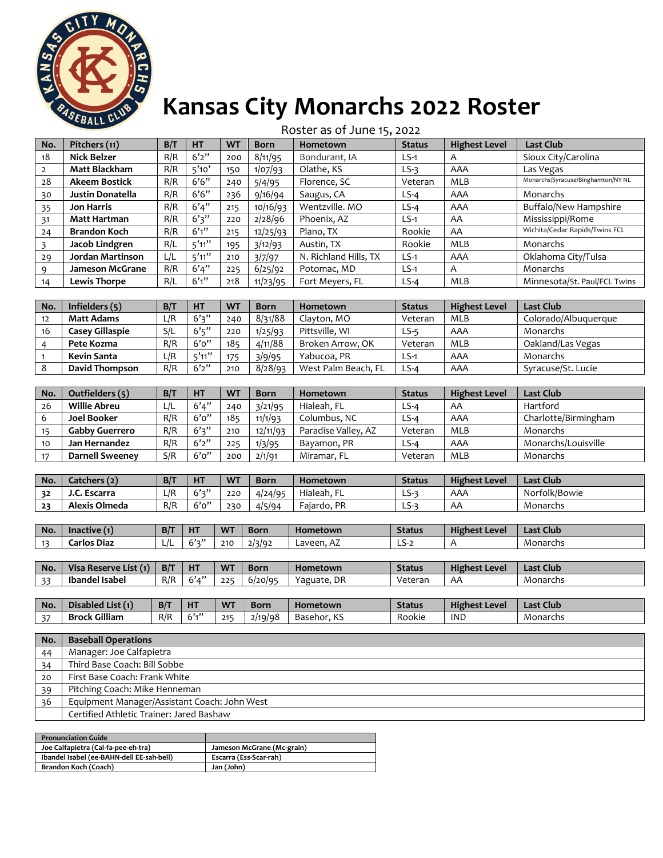

## **Kansas City Monarchs 2022 Roster**

|     |                         |     |           |           |             | Roster as of June 15, 2022 |               |                      |                                    |
|-----|-------------------------|-----|-----------|-----------|-------------|----------------------------|---------------|----------------------|------------------------------------|
| No. | Pitchers (11)           | B/T | <b>HT</b> | <b>WT</b> | <b>Born</b> | Hometown                   | <b>Status</b> | <b>Highest Level</b> | Last Club                          |
| 18  | <b>Nick Belzer</b>      | R/R | 6'2''     | 200       | 8/11/95     | Bondurant, IA              | $LS-1$        | A                    | Sioux City/Carolina                |
| 2   | <b>Matt Blackham</b>    | R/R | 5'10'     | 150       | 1/07/93     | Olathe, KS                 | $LS-3$        | AAA                  | Las Vegas                          |
| 28  | <b>Akeem Bostick</b>    | R/R | 6'6''     | 240       | 5/4/95      | Florence, SC               | Veteran       | MLB                  | Monarchs/Syracuse/Binghamton/NY NL |
| 30  | <b>Justin Donatella</b> | R/R | 6'6''     | 236       | 9/16/94     | Saugus, CA                 | $LS-4$        | AAA                  | Monarchs                           |
| 35  | <b>Jon Harris</b>       | R/R | 6'4''     | 215       | 10/16/93    | Wentzville. MO             | $LS-4$        | AAA                  | Buffalo/New Hampshire              |
| 31  | Matt Hartman            | R/R | 6'3''     | 220       | 2/28/96     | Phoenix, AZ                | $LS-1$        | AA                   | Mississippi/Rome                   |
| 24  | <b>Brandon Koch</b>     | R/R | 6'1''     | 215       | 12/25/93    | Plano, TX                  | Rookie        | AA                   | Wichita/Cedar Rapids/Twins FCL     |
| 3   | Jacob Lindgren          | R/L | 5'11''    | 195       | 3/12/93     | Austin, TX                 | Rookie        | MLB                  | Monarchs                           |
| 29  | Jordan Martinson        | L/L | 5'11''    | 210       | 3/7/97      | N. Richland Hills, TX      | $LS-1$        | AAA                  | Oklahoma City/Tulsa                |
| 9   | <b>Jameson McGrane</b>  | R/R | 6'4''     | 225       | 6/25/92     | Potomac, MD                | $LS-1$        | A                    | Monarchs                           |
| 14  | <b>Lewis Thorpe</b>     | R/L | 6'1''     | 218       | 11/23/95    | Fort Meyers, FL            | $LS-4$        | MLB                  | Minnesota/St. Paul/FCL Twins       |
|     |                         |     |           |           |             |                            |               |                      |                                    |

| No.            | Infielders $(5)$      | B/T | <b>HT</b> | <b>WT</b> | <b>Born</b> | <b>Hometown</b>     | <b>Status</b> | <b>Highest Level</b> | Last Club            |
|----------------|-----------------------|-----|-----------|-----------|-------------|---------------------|---------------|----------------------|----------------------|
| 12             | <b>Matt Adams</b>     | L/R | 6'3''     | 240       | 8/31/88     | Clayton, MO         | Veteran       | <b>MLB</b>           | Colorado/Albuguergue |
| 16             | Casev Gillaspie       | S/L | 6's''     | 220       | 1/25/93     | Pittsville, WI      | $LS-5$        | AAA                  | Monarchs             |
| $\overline{a}$ | Pete Kozma            | R/R | 6'0''     | 185       | 4/11/88     | Broken Arrow, OK    | Veteran       | <b>MLB</b>           | Oakland/Las Vegas    |
|                | Kevin Santa           | L/R | 5'11''    | 175       | 3/9/95      | Yabucoa, PR         | LS-1          | AAA                  | Monarchs             |
|                | <b>David Thompson</b> | R/R | 6'2''     | 210       | 8/28/93     | West Palm Beach, FL | $LS-4$        | AAA                  | Syracuse/St. Lucie   |

| No. | Outfielders (5)        | B/T | HT    | <b>WT</b> | <b>Born</b> | <b>Hometown</b>     | <b>Status</b> | <b>Highest Level</b> | <b>Last Club</b>     |
|-----|------------------------|-----|-------|-----------|-------------|---------------------|---------------|----------------------|----------------------|
| 26  | Willie Abreu           | L/L | 6'4'' | 240       | 3/21/95     | Hialeah, FL         | LS-4          | AA                   | Hartford             |
| 6   | <b>Joel Booker</b>     | R/R | 6'0'' | 185       | 11/1/93     | Columbus, NC        | ∟S-4          | AAA                  | Charlotte/Birmingham |
|     | Gabby Guerrero         | R/R | 6'3'' | 210       | 12/11/93    | Paradise Valley, AZ | Veteran       | <b>MLB</b>           | Monarchs             |
| 10  | Jan Hernandez          | R/R | 6'2'' | 225       | 1/3/95      | Bayamon, PR         | ∟S-4          | AAA                  | Monarchs/Louisville  |
|     | <b>Darnell Sweeney</b> | S/R | 6'0'' | 200       | 2/1/91      | Miramar, FL         | Veteran       | MLB                  | Monarchs             |

| No. | Catchers (2)  | B/T | <b>HT</b> | <b>WT</b> | Born    | Hometown    | <b>Status</b> | <b>Highest Level</b> | <b>Last Club</b> |
|-----|---------------|-----|-----------|-----------|---------|-------------|---------------|----------------------|------------------|
| 32  | J.C. Escarra  | ∟/P | 6'3''     | 220       | 4/24/95 | Hialeah, FL | LS-3          | AAA                  | Norfolk/Bowie    |
| 23  | Alexis Olmeda | R/R | 6'0''     | 230       | 4/5/94  | Faiardo, PR | S.:<br>ر_     | AA                   | Monarchs         |

| l No.          | octive (1).<br>¶na⊾ | B/T                  | <b>HT</b> | <b>W</b><br>. . | Born        | Hometown           | <b>Status</b> | <b>Highest Level</b> | Club<br>Last |
|----------------|---------------------|----------------------|-----------|-----------------|-------------|--------------------|---------------|----------------------|--------------|
| $\overline{a}$ | Carlos Diaz         | $\overline{1}$<br>பட | 6,7,11    | 210             | 2/3/92<br>. | Laveen <b>.</b> AZ | __ _          |                      | Monarchs     |

| No. | a Reserve List (1) | B/T | <b>HT</b> | <b>WT</b> | <b>Born</b> | Hometown         | <b>Status</b> | <b>Highest Level</b> | <b>Last Club</b> |
|-----|--------------------|-----|-----------|-----------|-------------|------------------|---------------|----------------------|------------------|
| 22  | Ibandel Isabel     | R/R | 6'4''     | 225       | 6/20/95     | . DR<br>'aguate. | Veteran       | AA                   | Monarchs         |
|     |                    |     |           |           |             |                  |               |                      |                  |

| l No.              | $-$ .<br>$\blacksquare$<br>Disabled List | B/T | ш<br>п | <b>WT</b>       | Born    | Hometown    | <b>Status</b> | $- - -$<br><b>Highest Level</b> | Last Club |
|--------------------|------------------------------------------|-----|--------|-----------------|---------|-------------|---------------|---------------------------------|-----------|
| $\sim$<br><u>.</u> | Gilliam<br><b>Brock</b>                  | R/R | $-211$ | 245<br><u>.</u> | 8ף/19/ר | Basehor. KS | Rookie        | <b>IND</b>                      | Monarchs  |

| No. | <b>Baseball Operations</b>                   |
|-----|----------------------------------------------|
| 44  | Manager: Joe Calfapietra                     |
| 34  | Third Base Coach: Bill Sobbe                 |
| 20  | First Base Coach: Frank White                |
| 39  | Pitching Coach: Mike Henneman                |
| 36  | Equipment Manager/Assistant Coach: John West |
|     | Certified Athletic Trainer: Jared Bashaw     |

| <b>Pronunciation Guide</b>                |                            |
|-------------------------------------------|----------------------------|
| Joe Calfapietra (Cal-fa-pee-eh-tra)       | Jameson McGrane (Mc-grain) |
| Ibandel Isabel (ee-BAHN-dell EE-sah-bell) | Escarra (Ess-Scar-rah)     |
| Brandon Koch (Coach)                      | Jan (John)                 |